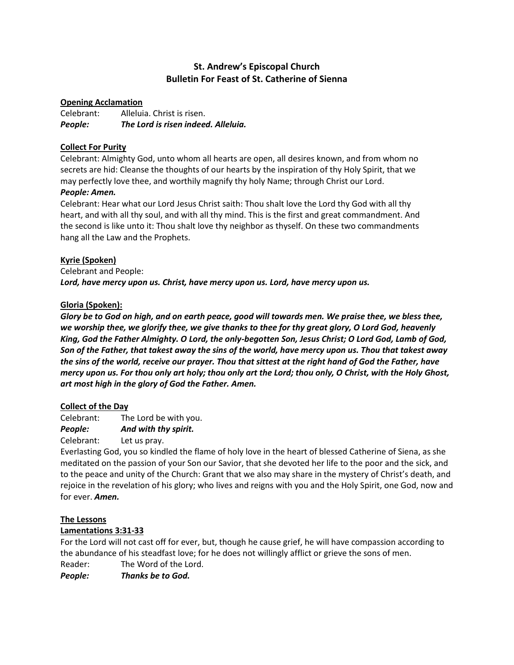# **St. Andrew's Episcopal Church Bulletin For Feast of St. Catherine of Sienna**

## **Opening Acclamation**

Celebrant: Alleluia. Christ is risen. *People: The Lord is risen indeed. Alleluia.*

## **Collect For Purity**

Celebrant: Almighty God, unto whom all hearts are open, all desires known, and from whom no secrets are hid: Cleanse the thoughts of our hearts by the inspiration of thy Holy Spirit, that we may perfectly love thee, and worthily magnify thy holy Name; through Christ our Lord.

### *People: Amen.*

Celebrant: Hear what our Lord Jesus Christ saith: Thou shalt love the Lord thy God with all thy heart, and with all thy soul, and with all thy mind. This is the first and great commandment. And the second is like unto it: Thou shalt love thy neighbor as thyself. On these two commandments hang all the Law and the Prophets.

### **Kyrie (Spoken)**

Celebrant and People: *Lord, have mercy upon us. Christ, have mercy upon us. Lord, have mercy upon us.*

### **Gloria (Spoken):**

*Glory be to God on high, and on earth peace, good will towards men. We praise thee, we bless thee, we worship thee, we glorify thee, we give thanks to thee for thy great glory, O Lord God, heavenly King, God the Father Almighty. O Lord, the only-begotten Son, Jesus Christ; O Lord God, Lamb of God, Son of the Father, that takest away the sins of the world, have mercy upon us. Thou that takest away the sins of the world, receive our prayer. Thou that sittest at the right hand of God the Father, have mercy upon us. For thou only art holy; thou only art the Lord; thou only, O Christ, with the Holy Ghost, art most high in the glory of God the Father. Amen.*

### **Collect of the Day**

Celebrant: The Lord be with you.

*People: And with thy spirit.*

Celebrant: Let us pray.

Everlasting God, you so kindled the flame of holy love in the heart of blessed Catherine of Siena, as she meditated on the passion of your Son our Savior, that she devoted her life to the poor and the sick, and to the peace and unity of the Church: Grant that we also may share in the mystery of Christ's death, and rejoice in the revelation of his glory; who lives and reigns with you and the Holy Spirit, one God, now and for ever. *Amen.*

### **The Lessons**

## **Lamentations 3:31-33**

For the Lord will not cast off for ever, but, though he cause grief, he will have compassion according to the abundance of his steadfast love; for he does not willingly afflict or grieve the sons of men. Reader: The Word of the Lord.

*People: Thanks be to God.*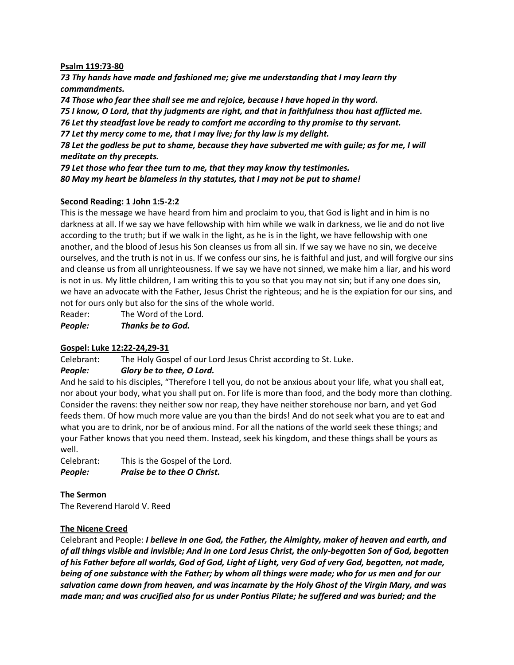#### **Psalm 119:73-80**

*73 Thy hands have made and fashioned me; give me understanding that I may learn thy commandments.*

*74 Those who fear thee shall see me and rejoice, because I have hoped in thy word. 75 I know, O Lord, that thy judgments are right, and that in faithfulness thou hast afflicted me. 76 Let thy steadfast love be ready to comfort me according to thy promise to thy servant. 77 Let thy mercy come to me, that I may live; for thy law is my delight. 78 Let the godless be put to shame, because they have subverted me with guile; as for me, I will meditate on thy precepts. 79 Let those who fear thee turn to me, that they may know thy testimonies.*

*80 May my heart be blameless in thy statutes, that I may not be put to shame!*

### **Second Reading: 1 John 1:5-2:2**

This is the message we have heard from him and proclaim to you, that God is light and in him is no darkness at all. If we say we have fellowship with him while we walk in darkness, we lie and do not live according to the truth; but if we walk in the light, as he is in the light, we have fellowship with one another, and the blood of Jesus his Son cleanses us from all sin. If we say we have no sin, we deceive ourselves, and the truth is not in us. If we confess our sins, he is faithful and just, and will forgive our sins and cleanse us from all unrighteousness. If we say we have not sinned, we make him a liar, and his word is not in us. My little children, I am writing this to you so that you may not sin; but if any one does sin, we have an advocate with the Father, Jesus Christ the righteous; and he is the expiation for our sins, and not for ours only but also for the sins of the whole world.

Reader: The Word of the Lord.

*People: Thanks be to God.*

## **Gospel: Luke 12:22-24,29-31**

Celebrant: The Holy Gospel of our Lord Jesus Christ according to St. Luke.

### *People: Glory be to thee, O Lord.*

And he said to his disciples, "Therefore I tell you, do not be anxious about your life, what you shall eat, nor about your body, what you shall put on. For life is more than food, and the body more than clothing. Consider the ravens: they neither sow nor reap, they have neither storehouse nor barn, and yet God feeds them. Of how much more value are you than the birds! And do not seek what you are to eat and what you are to drink, nor be of anxious mind. For all the nations of the world seek these things; and your Father knows that you need them. Instead, seek his kingdom, and these things shall be yours as well.

Celebrant: This is the Gospel of the Lord. *People: Praise be to thee O Christ.*

### **The Sermon**

The Reverend Harold V. Reed

## **The Nicene Creed**

Celebrant and People: *I believe in one God, the Father, the Almighty, maker of heaven and earth, and of all things visible and invisible; And in one Lord Jesus Christ, the only-begotten Son of God, begotten of his Father before all worlds, God of God, Light of Light, very God of very God, begotten, not made, being of one substance with the Father; by whom all things were made; who for us men and for our salvation came down from heaven, and was incarnate by the Holy Ghost of the Virgin Mary, and was made man; and was crucified also for us under Pontius Pilate; he suffered and was buried; and the*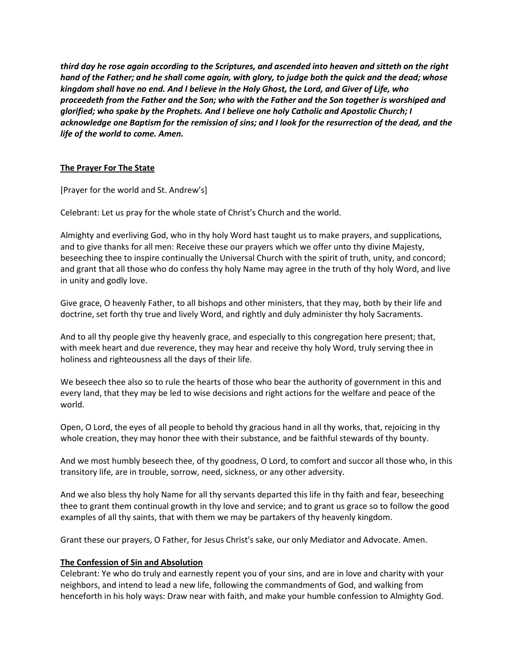*third day he rose again according to the Scriptures, and ascended into heaven and sitteth on the right hand of the Father; and he shall come again, with glory, to judge both the quick and the dead; whose kingdom shall have no end. And I believe in the Holy Ghost, the Lord, and Giver of Life, who proceedeth from the Father and the Son; who with the Father and the Son together is worshiped and glorified; who spake by the Prophets. And I believe one holy Catholic and Apostolic Church; I acknowledge one Baptism for the remission of sins; and I look for the resurrection of the dead, and the life of the world to come. Amen.*

### **The Prayer For The State**

[Prayer for the world and St. Andrew's]

Celebrant: Let us pray for the whole state of Christ's Church and the world.

Almighty and everliving God, who in thy holy Word hast taught us to make prayers, and supplications, and to give thanks for all men: Receive these our prayers which we offer unto thy divine Majesty, beseeching thee to inspire continually the Universal Church with the spirit of truth, unity, and concord; and grant that all those who do confess thy holy Name may agree in the truth of thy holy Word, and live in unity and godly love.

Give grace, O heavenly Father, to all bishops and other ministers, that they may, both by their life and doctrine, set forth thy true and lively Word, and rightly and duly administer thy holy Sacraments.

And to all thy people give thy heavenly grace, and especially to this congregation here present; that, with meek heart and due reverence, they may hear and receive thy holy Word, truly serving thee in holiness and righteousness all the days of their life.

We beseech thee also so to rule the hearts of those who bear the authority of government in this and every land, that they may be led to wise decisions and right actions for the welfare and peace of the world.

Open, O Lord, the eyes of all people to behold thy gracious hand in all thy works, that, rejoicing in thy whole creation, they may honor thee with their substance, and be faithful stewards of thy bounty.

And we most humbly beseech thee, of thy goodness, O Lord, to comfort and succor all those who, in this transitory life, are in trouble, sorrow, need, sickness, or any other adversity.

And we also bless thy holy Name for all thy servants departed this life in thy faith and fear, beseeching thee to grant them continual growth in thy love and service; and to grant us grace so to follow the good examples of all thy saints, that with them we may be partakers of thy heavenly kingdom.

Grant these our prayers, O Father, for Jesus Christ's sake, our only Mediator and Advocate. Amen.

### **The Confession of Sin and Absolution**

Celebrant: Ye who do truly and earnestly repent you of your sins, and are in love and charity with your neighbors, and intend to lead a new life, following the commandments of God, and walking from henceforth in his holy ways: Draw near with faith, and make your humble confession to Almighty God.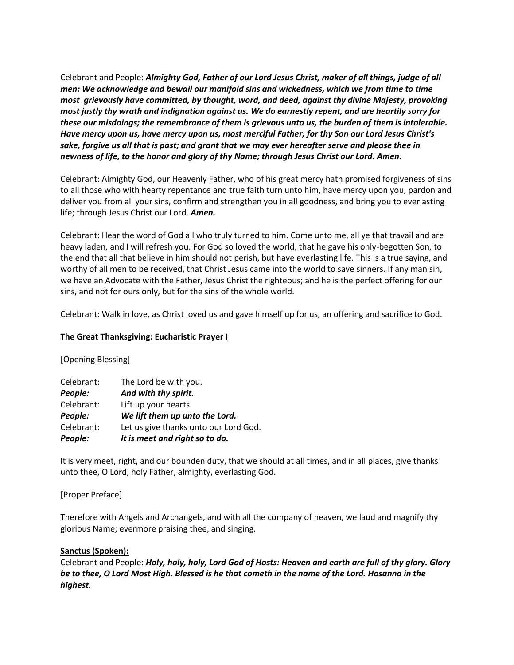Celebrant and People: *Almighty God, Father of our Lord Jesus Christ, maker of all things, judge of all men: We acknowledge and bewail our manifold sins and wickedness, which we from time to time most grievously have committed, by thought, word, and deed, against thy divine Majesty, provoking most justly thy wrath and indignation against us. We do earnestly repent, and are heartily sorry for these our misdoings; the remembrance of them is grievous unto us, the burden of them is intolerable. Have mercy upon us, have mercy upon us, most merciful Father; for thy Son our Lord Jesus Christ's sake, forgive us all that is past; and grant that we may ever hereafter serve and please thee in newness of life, to the honor and glory of thy Name; through Jesus Christ our Lord. Amen.*

Celebrant: Almighty God, our Heavenly Father, who of his great mercy hath promised forgiveness of sins to all those who with hearty repentance and true faith turn unto him, have mercy upon you, pardon and deliver you from all your sins, confirm and strengthen you in all goodness, and bring you to everlasting life; through Jesus Christ our Lord. *Amen.*

Celebrant: Hear the word of God all who truly turned to him. Come unto me, all ye that travail and are heavy laden, and I will refresh you. For God so loved the world, that he gave his only-begotten Son, to the end that all that believe in him should not perish, but have everlasting life. This is a true saying, and worthy of all men to be received, that Christ Jesus came into the world to save sinners. If any man sin, we have an Advocate with the Father, Jesus Christ the righteous; and he is the perfect offering for our sins, and not for ours only, but for the sins of the whole world.

Celebrant: Walk in love, as Christ loved us and gave himself up for us, an offering and sacrifice to God.

#### **The Great Thanksgiving: Eucharistic Prayer I**

### [Opening Blessing]

| People:    | It is meet and right so to do.        |
|------------|---------------------------------------|
| Celebrant: | Let us give thanks unto our Lord God. |
| People:    | We lift them up unto the Lord.        |
| Celebrant: | Lift up your hearts.                  |
| People:    | And with thy spirit.                  |
| Celebrant: | The Lord be with you.                 |

It is very meet, right, and our bounden duty, that we should at all times, and in all places, give thanks unto thee, O Lord, holy Father, almighty, everlasting God.

#### [Proper Preface]

Therefore with Angels and Archangels, and with all the company of heaven, we laud and magnify thy glorious Name; evermore praising thee, and singing.

#### **Sanctus (Spoken):**

Celebrant and People: *Holy, holy, holy, Lord God of Hosts: Heaven and earth are full of thy glory. Glory be to thee, O Lord Most High. Blessed is he that cometh in the name of the Lord. Hosanna in the highest.*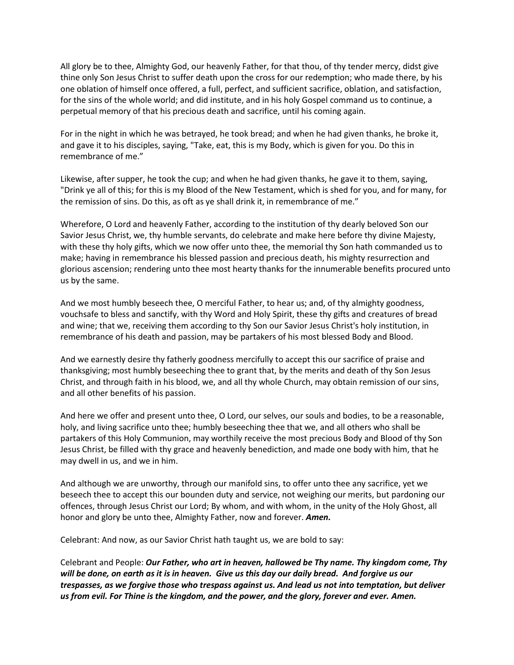All glory be to thee, Almighty God, our heavenly Father, for that thou, of thy tender mercy, didst give thine only Son Jesus Christ to suffer death upon the cross for our redemption; who made there, by his one oblation of himself once offered, a full, perfect, and sufficient sacrifice, oblation, and satisfaction, for the sins of the whole world; and did institute, and in his holy Gospel command us to continue, a perpetual memory of that his precious death and sacrifice, until his coming again.

For in the night in which he was betrayed, he took bread; and when he had given thanks, he broke it, and gave it to his disciples, saying, "Take, eat, this is my Body, which is given for you. Do this in remembrance of me."

Likewise, after supper, he took the cup; and when he had given thanks, he gave it to them, saying, "Drink ye all of this; for this is my Blood of the New Testament, which is shed for you, and for many, for the remission of sins. Do this, as oft as ye shall drink it, in remembrance of me."

Wherefore, O Lord and heavenly Father, according to the institution of thy dearly beloved Son our Savior Jesus Christ, we, thy humble servants, do celebrate and make here before thy divine Majesty, with these thy holy gifts, which we now offer unto thee, the memorial thy Son hath commanded us to make; having in remembrance his blessed passion and precious death, his mighty resurrection and glorious ascension; rendering unto thee most hearty thanks for the innumerable benefits procured unto us by the same.

And we most humbly beseech thee, O merciful Father, to hear us; and, of thy almighty goodness, vouchsafe to bless and sanctify, with thy Word and Holy Spirit, these thy gifts and creatures of bread and wine; that we, receiving them according to thy Son our Savior Jesus Christ's holy institution, in remembrance of his death and passion, may be partakers of his most blessed Body and Blood.

And we earnestly desire thy fatherly goodness mercifully to accept this our sacrifice of praise and thanksgiving; most humbly beseeching thee to grant that, by the merits and death of thy Son Jesus Christ, and through faith in his blood, we, and all thy whole Church, may obtain remission of our sins, and all other benefits of his passion.

And here we offer and present unto thee, O Lord, our selves, our souls and bodies, to be a reasonable, holy, and living sacrifice unto thee; humbly beseeching thee that we, and all others who shall be partakers of this Holy Communion, may worthily receive the most precious Body and Blood of thy Son Jesus Christ, be filled with thy grace and heavenly benediction, and made one body with him, that he may dwell in us, and we in him.

And although we are unworthy, through our manifold sins, to offer unto thee any sacrifice, yet we beseech thee to accept this our bounden duty and service, not weighing our merits, but pardoning our offences, through Jesus Christ our Lord; By whom, and with whom, in the unity of the Holy Ghost, all honor and glory be unto thee, Almighty Father, now and forever. *Amen.*

Celebrant: And now, as our Savior Christ hath taught us, we are bold to say:

Celebrant and People: *Our Father, who art in heaven, hallowed be Thy name. Thy kingdom come, Thy will be done, on earth as it is in heaven. Give us this day our daily bread. And forgive us our trespasses, as we forgive those who trespass against us. And lead us not into temptation, but deliver us from evil. For Thine is the kingdom, and the power, and the glory, forever and ever. Amen.*